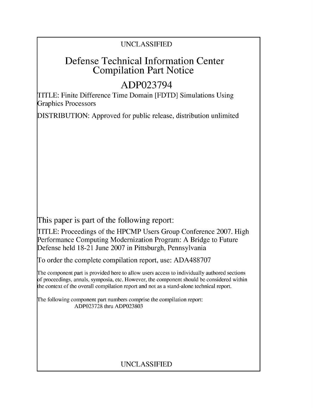### UNCLASSIFIED

# **Defense Technical Information Center Compilation Part Notice**

# **ADP023794**

TITLE: Finite Difference Time Domain [FDTD] Simulations Using Graphics Processors

DISTRIBUTION: Approved for public release, distribution unlimited

This paper is part of the following report:

TITLE: Proceedings of the HPCMP Users Group Conference 2007. High Performance Computing Modernization Program: A Bridge to Future Defense held 18-21 June 2007 in Pittsburgh, Pennsylvania

To order the complete compilation report, use: ADA488707

The component part is provided here to allow users access to individually authored sections f proceedings, annals, symposia, etc. However, the component should be considered within [he context of the overall compilation report and not as a stand-alone technical report.

The following component part numbers comprise the compilation report: ADP023728 thru ADP023803

## UNCLASSIFIED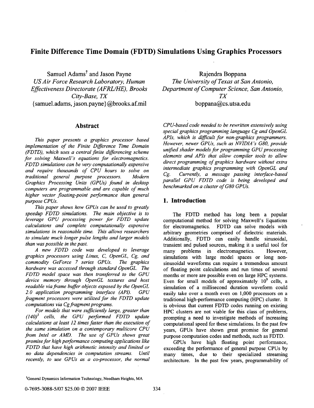### **Finite Difference Time Domain (FDTD) Simulations Using Graphics Processors**

Samuel Adams<sup>†</sup> and Jason Payne Rajendra Boppana *US Air Force Research Laboratory, Human The University of Texas at San Antonio, City-Base, TX TX* **{** samuel. adams, **j** ason.payne **}** @brooks. af.mil boppana@cs.utsa.edu

*implementation of the Finite Difference Time Domain However, newer GPUs, such as NVIDIA's G80, provide (FDTD), which uses a central finite differencing scheme for solving Maxwell's equations for electromagnetics, elements and APIs that allow compiler tools to allow FDTD simulations can be very computationally expensive direct programming of graphics hardware without extra and require thousands of CPU hours to solve on traditional general purpose processors. Modern Cg. Currently, a message passing interface-based Graphics Processing Units (GPUs) found in desktop parallel GPU FDID code is being developed and concernent and and concernent parallel and and concernent being developed and and concernent being being being developed and computers are programmable and are capable of much higher vector floating-point performance than general purpose CPUs.* **1. Introduction**

*This paper shows how GPUs can be used to greatly speedup FDTD simulations. The main objective is to* The FDTD method has long been a popular *leverage GPU processing power for FDTD update* computational method for solving Maxwell's Equations *calculations and complete computationally expensive* for electromagnetics. FDTD can solve models with *simulations in reasonable time. This allows researchers* arbitrary geometries comprised of dielectric materials. to simulate much longer pulse lengths and larger models Additionally, FDTD can easily handle sinusoidal,

graphics processors using Linux, C, OpenGL, Cg, and simulations with large model spaces or long non*commodity GeForce 7 series GPUs. The graphics* sinusoidal waveforms can require a tremendous amount *hardware was accessed through standard OpenGL. The* of floating point calculations and run times of several *FDTD model space was then transferred to the GPU* months or more are possible even on large HPC systems. device memory through OpenGL textures and host **Even for small models of approximately** 10<sup>9</sup> cells, a *readable via frame buffer objects exposed by the OpenGL* simulation of a millisecond duration waveform could *2.0 application programming interface (API). GPU* easily take over a month even on 1,000 processors on a *fragment processors were utilized for the FDTD update* traditional high-performance computing (HPC) cluster. It

 $(140)^3$  cells, the GPU performed FDTD update **prompting a need to investigate methods** of increasing calculations at least 12 times faster than the execution of computational speed for these simulations. In the past few *the same simulation on a contemporary multicore CPU* years, GPUs have shown great promise for general *from Intel or AMD. The use of GPUs shows great* purpose computation codes and methods, such as FDTD. *promise for high performance computing applications like* <sup>1</sup>GPUs have high floating point performance, *FDTD that have high arithmetic intensity and limited or* exceeding the performance of general purpose CPUs by *no data dependencies in computation streams. Until* many times, due to their specialized streaming

*Effectiveness Directorate (AFRL/HE), Brooks Department of Computer Science, San Antonio,*

**Abstract** *CPU-based code needed to be rewritten extensively using special graphics programming language Cg and OpenGL This paper presents a graphics processor based APIs, which is difficult for non-graphics programmers.*

*than was possible in the past.* **than was possible in the past. transient and pulsed sources**, making it a useful tool for *A new FDTD code was developed to leverage* many problems in electromagnetics. However, *computations via Cgfragment programs.* is obvious that current FDTD codes running on existing For models that were sufficiently large, greater than **HPC** clusters are not viable for this class of problems,

*recently, to use GPUs as a co-processor, the normal* architecture. In the past few years, programmability of

tGeneral Dynamics Information Technology, Needham Heights, MA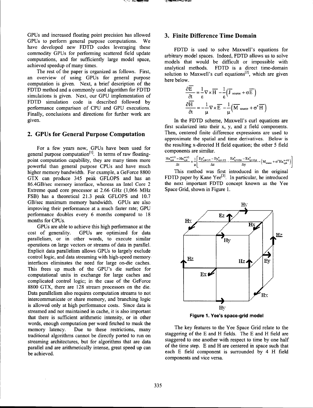GPUs and increased floating point precision has allowed **3.** Finite Difference Time Domain GPUs to perform general purpose computations. We have developed new FDTD codes leveraging these FDTD is used to solve Maxwell's equations for commodity GPUs for performing scattered field update arbitrary model spaces. Indeed, FDTD allows us to solve computations, and for sufficiently large model space, models that would be difficult or impossible with

an overview of using GPUs for general purpose here below. computation is given. Next, a brief description of the FDTD method and a commonly used algorithm for FDTD simulations is given. Next, our GPU implementation of FDTD simulation code is described followed by performance comparison of CPU and GPU executions. Finally, conclusions and directions for further work are given. In the FDTD scheme, Maxwell's curl equations are

 $\frac{1}{101}$  a Tew years now, OI Os have been used to comp<br>general purpose computation<sup>[1]</sup>. In terms of raw floatingpoint computation capability, they are many times more powerful than general purpose CPUs and have much  $\frac{\Delta t}{t}$   $\frac{\Delta z}{t}$   $\frac{\Delta y}{t}$   $\frac{\Delta y}{t}$   $\frac{\Delta y}{t}$ higher memory bandwidth. For example, a GeForce 8800 GTX can produce 345 peak GFLOPS and has an FDTD paper by Kane Yee<sup>[3]</sup>. In particular, he introduced 86.4GB/sec memory interface, whereas an Intel Core 2 the next important FDTD concept known as the Yee 86.4GB/sec memory interface, whereas an Intel Core 2 the next important FDTD concept known as the Space Grid, shown in Figure 1. Extreme quad core processor at  $2.66$  GHz  $(1,066)$  MHz FSB) has a theoretical 21.3 peak GFLOPS and 10.7 GB/sec maximum memory bandwidth. GPUs are also Hy improving their performance at a much faster rate; GPU performance doubles every 6 months compared to 18  $\angle$  Ez. months for CPUs. **ix- ix- ix- ix- ix- ix- ix- ix- ix- ix- ix- ix- ix- ix- ix- ix- ix- ix- ix- ix- ix- ix- ix- ix- ix- ix- ix- ix- ix- ix- ix- ix- ix- ix-**

GPUs are able to achieve this high performance at the cost of generality. GPUs are optimized for data parallelism, or in other words, to execute similar 4FHy operations on large vectors or streams of data in parallel. Explicit data parallelism allows GPUs to largely exclude control logic, and data streaming with high-speed memory.  $\begin{array}{c} \n\end{array}$  Hz interfaces eliminates the need for large on-die caches.  $Hz \bigoplus^{n} E$   $\bigotimes^{n} E$ This frees up much of the GPU's die surface for computational units in exchange for large caches and  $Ex \bullet$ complicated control logic; in the case of the GeForce **x** 8800 GTX, there are 128 stream processors on the die. Data parallelism also requires computation streams to not  $H_X$ intercommunicate or share memory, and branching logic is allowed only at high performance costs. Since data is **Hy** streamed and not maintained in cache, it is also important that there is sufficient arithmetic intensity, or in other **Figure 1. Yee's space-grid model** words, enough computation per word fetched to mask the memory latency. Due to these restrictions, many The key features to the Yee Space Grid relate to the latency. traditional algorithms cannot be directly ported to run on staggering of the E and H fields. The E and H field are<br>streaming architectures but for algorithms that are data staggered to one another with respect to time by o streaming architectures, but for algorithms that are data staggered to one another with respect to time by one half<br>narallel and are arithmetically intense great speed up can of the time step. E and H are centered in space parallel and are arithmetically intense, great speed up can be achieved.<br>
be achieved.<br>
each E field component is surrounded by 4 H field

achieved speedup of many times.<br>analytical methods. FDTD is a direct time-domain The rest of the paper is organized as follows. First, solution to Maxwell's curl equations<sup>[2]</sup>, which are given

$$
\frac{\partial \overline{E}}{\partial t} = \frac{1}{\epsilon} \nabla \times \overline{H} - \frac{1}{\epsilon} (\overline{J}_{source} + \sigma \overline{E})
$$

$$
\frac{\partial \overline{H}}{\partial t} = -\frac{1}{\mu} \nabla \times \overline{E} - \frac{1}{\mu} (\overline{M}_{source} + \sigma^* \overline{H})
$$

first scalarized into their x, y, and z field components. 2. GPUs for General Purpose Computation<sup>Then, centered finite difference expressions are used to</sup> approximate the spatial and time derivatives. Below is For a few years now, GPUs have been used for the resulting x-directed H field equation; the other 5 field  $\frac{1}{2}$  components are similar.

$$
\frac{H x_{i,j,k}^{n+1/2}-H x_{i,j,k}^{n+1/2}}{\Delta t}=\mu\Bigg[\frac{E y_{i,j,k+1/2}^n-E y_{i,j,k-1/2}^n}{\Delta z}-\frac{E z_{i,j+1/2,k}^n-E z_{i,j-1/2,k}^n}{\Delta y}-\Big(M_{\text{source}}+\sigma^*H x_{i,j,k}^{n-1/2}\Big)\Bigg]
$$



components and vice versa.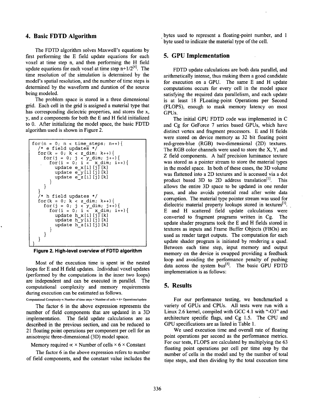The FDTD algorithm solves Maxwell's equations by first performing the **E** field update equations for each **5. GPU** Implementation voxel at time step n, and then performing the H field update equations for each voxel at time step  $n+1/2^{[4]}$ . The time resolution of the simulation is determined by the arithmetically intense, thus making them a good candidate model's spatial resolution, and the number of time steps is for execution on a GPU. The same E and H update determined by the waveform and duration of the source computations occurs for every cell in the model space

grid. Each cell in the grid is assigned a material type that (FLOPS), enough to mask memory latency on most has corresponding dielectric properties, and stores the x, GPUs. y, and z components for both the E and H field initialized The initial GPU FDTD code was implemented in C to 0. After initializing the model space, the basic FDTD and Cg for GeForce 7 series based GPUs, which have

```
for(k = 0; k < z_dim; k++){<br>for(j = 0; j < y_dim; j++){<br>for(i = 0; i < x_dim; i+
       \overline{\phantom{a}}}
```
loops for E and H field updates. Individual voxel updates implementation is as follows: (performed by the computations in the inner two loops) are independent and can be executed in parallel. The computational complexity and memory requirements **5.** Results during execution can be estimated as follows.

number of field components that are updated in a 3D Linux 2.6 kernel, compiled with GCC 4.1 with "-O3" and implementation. The field update calculations are as architecture specific flags, and Cg 1.5. The CPU and described in the previous section, and can be reduced to GPU specifications are as listed in Table 1. 21 floating point operations per component per cell for an We used execution time and overall rate of floating anisotropic three-dimensional (3D) model space. point operations per second as the performance metrics.

The factor 6 in the above expression refers to number

**4. Basic FDTD Algorithm** bytes used to represent a floating-point number, and 1 byte used to indicate the material type of the cell.

FDTD update calculations are both data parallel, and being modeled. satisfying the required data parallelism, and each update The problem space is stored in a three dimensional is at least 18 FLoating-point Operations per Second

algorithm used is shown in Figure 2. distinct vertex and fragment processors. E and H fields were stored on device memory as 32 bit floating point for(n = 0; n < time\_steps; n++){ red-green-blue (RGB) two-dimensional (2D) textures.<br>
/\* e field updates \*/ The RGB color channels were used to store the X Y and The RGB color channels were used to store the X, Y, and Z field components. A half precision luminance texture for (i = 0; i **<** x dim; i++) **{** was stored as a pointer stream to store the material types update  $e_x[i][j][k]$  in the model space. In both of these cases, the 3D volume<br>update  $e_y[i][j][k]$  in the model space. In both of these cases, the 3D volume update e<sub>x</sub> [1] **[j]** [k] m intermodel space. In both of these cases, the 3D volume<br>update e<sub>x</sub> [1] [j] [k] was flattened into a 2D textures and is accessed via a dot update  $e_2$ [i] [j] [k] product based 3D to 2D textures and is accessed 3D to 3D and  $\frac{1}{2}$  and  $\frac{1}{2}$  and  $\frac{1}{2}$  and  $\frac{1}{2}$  and  $\frac{1}{2}$  and  $\frac{1}{2}$  and  $\frac{1}{2}$  and  $\frac{1}{2}$  and  $\frac{1}{2}$  and  $\frac{1}{2}$  product based 3D to 2D address translation<sup>[1]</sup>. This allows the entire 3D space to be updated in one render  $\left\{\begin{array}{ccc} \uparrow & \downarrow & \downarrow \\ \uparrow & \downarrow & \downarrow \end{array}\right.$  field updates  $\left\{\begin{array}{ccc} \downarrow & \downarrow & \downarrow \\ \downarrow & \downarrow & \downarrow \end{array}\right.$  field updates  $\left\{\begin{array}{ccc} \downarrow & \downarrow & \downarrow \\ \downarrow & \downarrow & \downarrow \end{array}\right\}$  $f \circ n$  filled updates  $\circ$  for (k = 0; k < z\_dim; k++) { corruption. The material type pointer stream was used for (k = 0; k < z\_dim; k++) {  $f(x) = 0;$   $f(x) = 0;$   $f(x) = 0;$   $f(x) = 0;$   $f(x) = 0;$   $f(x) = 0;$   $f(x) = 0$ .  $for (j = 0; j < y \leq x \leq d \text{ in } j++)$  {<br>  $for (i = 0; i < x \leq d \text{ in } j++)$  {<br>  $for (i = 0; i < x \leq d \text{ in } j++)$  {<br>  $\qquad \qquad \text{E and H scattered field update calculations were}$ <br>  $converted to fragment programs written in Cg. The$ update h\_x[i] [j][k] converted to fragment programs written in Cg. The update h y[i][k] update  $\lim_{n \to \infty} I(x)$  [i] [k]  $\lim_{n \to \infty} I(x)$  update shader programs took the E and H fields stored in textures as inputs and Frame Buffer Objects (FBOs) are used as render target outputs. The computation for each Figure 1.1 update shader program is initiated by rendering a quad.  $\overline{F}$  2. High-level overview of FDTD algorithm Between each time step, input memory and output  $\overline{F}$ memory on the device is swapped providing a feedback Most of the execution time is spent in the nested  $\frac{loop \text{ and avoiding the performance penalty of pushing data across the system bus}^{[5]}$ . The basic GPU FDTD

Computational Complexity & Number of time steps **x** Number of cells **x 6x** Operations/update For our performance testing, we benchmarked a The factor 6 in the above expression represents the variety of GPUs and CPUs. All tests were run with a

Memory required  $\propto$  **x** Number of cells  $\times$  6  $\times$  Constant For our tests, FLOPS are calculated by multiplying the 63 floating point operations per cell per time step by the In the factor 6 in the above expression refers to number<br>of cells in the model and by the number of total<br>time steps, and then dividing by the total execution time<br>time steps, and then dividing by the total execution time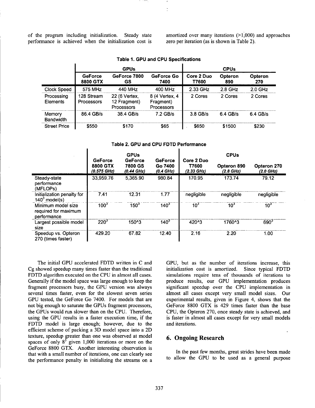of the program including initialization. Steady state amortized over many iterations (>1,000) and approaches performance is achieved when the initialization cost is zero per iteration (as is shown in Table 2).

|                            | <b>GPUs</b>                     |                                             |                                                  | <b>CPUs</b>         |                |                |
|----------------------------|---------------------------------|---------------------------------------------|--------------------------------------------------|---------------------|----------------|----------------|
|                            | <b>GeForce</b><br>8800 GTX      | GeForce 7800<br>GS                          | GeForce Go<br>7400                               | Core 2 Duo<br>T7600 | Opteron<br>890 | Opteron<br>270 |
| Clock Speed                | 575 MHz                         | 440 MH <sub>z</sub>                         | 400 MHz                                          | 2.33 GHz            | $2.8$ GHz      | $2.0$ GHz      |
| Processing<br>Elements     | 128 Stream<br><b>Processors</b> | 22 (6 Vertex,<br>12 Fragment)<br>Processors | 8 (4 Vertex, 4<br>Fragment)<br><b>Processors</b> | 2 Cores             | 2 Cores        | 2 Cores        |
| Memory<br><b>Bandwidth</b> | 86.4 GB/s                       | 38.4 GB/s                                   | $7.2$ GB/s                                       | $3.8$ GB/s          | $6.4$ GB/s     | $6.4$ GB/s     |
| <b>Street Price</b>        | \$550                           | \$170                                       | \$65                                             | \$650               | \$1500         | \$230          |

### **Table 1. GPU and CPU Specifications**

Table 2. **GPU** and **CPU** FDTD Performance

|                                                           | <b>GPUs</b>                               |                                                |                                                  | <b>CPUs</b>                                        |                                    |                          |  |
|-----------------------------------------------------------|-------------------------------------------|------------------------------------------------|--------------------------------------------------|----------------------------------------------------|------------------------------------|--------------------------|--|
|                                                           | <b>GeForce</b><br>8800 GTX<br>(0.575 GHz) | <b>GeForce</b><br><b>7800 GS</b><br>(0.44 GHz) | <b>GeForce</b><br>Go 7400<br>$(0.4 \text{ GHz})$ | Core 2 Duo<br><b>T7600</b><br>$(2.33 \text{ GHz})$ | Opteron 890<br>$(2.8 \text{ GHz})$ | Opteron 270<br>(2.0 GHz) |  |
| Steady-state<br>performance<br>(MFLOPs)                   | 33,959.76                                 | 5,365.90                                       | 980.84                                           | 170.95                                             | 173.74                             | 79.12                    |  |
| Initialization penalty for<br>$1403$ model(s)             | 7.41                                      | 12.31                                          | 1.77                                             | negligible                                         | negligible                         | negligible               |  |
| Minimum model size<br>required for maximum<br>performance | 100 <sup>3</sup>                          | 150 <sup>3</sup>                               | $140^{3}$                                        | $10^3$                                             | $10^3$                             | 10 <sup>3</sup>          |  |
| Largest possible model<br>size                            | $220^3$                                   | 150^3                                          | $140^{3}$                                        | 420^3                                              | 1760^3                             | 690 <sup>3</sup>         |  |
| Speedup vs. Opteron<br>270 (times faster)                 | 429.20                                    | 67.82                                          | 12.40                                            | 2.16                                               | 2.20                               | 1.00                     |  |

The initial GPU accelerated FDTD written in C and GPU, but as the number of iterations increase, this Cg showed speedup many times faster than the traditional initialization cost is amortized. Since typical FDTD FDTD algorithm executed on the CPU in almost all cases. simulations require tens of thousands of iterations to Generally if the model space was large enough to keep the produce results, our GPU implementation produces fragment processors busy, the GPU version was always significant speedup over the CPU implementation in several times faster, even for the slowest seven series almost all cases except very small model sizes. Our GPU tested, the GeForce Go 7400. For models that are experimental results, given in Figure 4, shows that the not big enough to saturate the GPUs fragment processors, GeForce 8800 GTX is 429 times faster than the base the GPUs would run slower than on the CPU. Therefore, CPU, the Opteron 270, once steady state is achieved, and using the GPU results in a faster execution time, if the is faster in almost all cases except for very small models FDTD model is large enough; however, due to the and iterations. efficient scheme of packing a 3D model space into a 2D texture, speedup greater than one was observed at model **6. Ongoing Research** spaces of only **83** given 1,000 iterations or more on the GeForce 8800 GTX. Another interesting observation is that with a small number of iterations, one can clearly see the past few months, great strides have been made<br>that with a small number of iterations, one can clearly see to allow the GPU to be used as a general purpose the performance penalty in initializing the streams on a